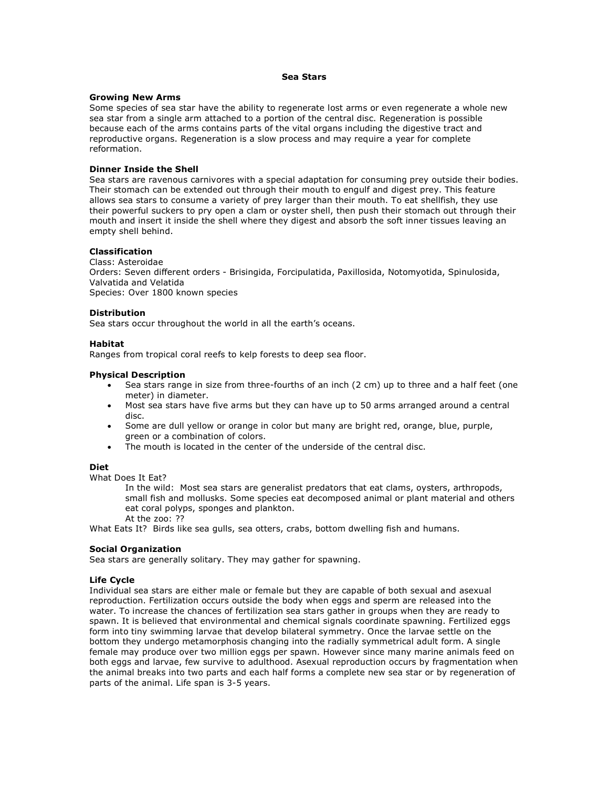### **Sea Stars**

## **Growing New Arms**

Some species of sea star have the ability to regenerate lost arms or even regenerate a whole new sea star from a single arm attached to a portion of the central disc. Regeneration is possible because each of the arms contains parts of the vital organs including the digestive tract and reproductive organs. Regeneration is a slow process and may require a year for complete reformation.

# **Dinner Inside the Shell**

Sea stars are ravenous carnivores with a special adaptation for consuming prey outside their bodies. Their stomach can be extended out through their mouth to engulf and digest prey. This feature allows sea stars to consume a variety of prey larger than their mouth. To eat shellfish, they use their powerful suckers to pry open a clam or oyster shell, then push their stomach out through their mouth and insert it inside the shell where they digest and absorb the soft inner tissues leaving an empty shell behind.

# **Classification**

Class: Asteroidae Orders: Seven different orders - Brisingida, Forcipulatida, Paxillosida, Notomyotida, Spinulosida, Valvatida and Velatida Species: Over 1800 known species

# **Distribution**

Sea stars occur throughout the world in all the earth's oceans.

# **Habitat**

Ranges from tropical coral reefs to kelp forests to deep sea floor.

# **Physical Description**

- Sea stars range in size from three-fourths of an inch (2 cm) up to three and a half feet (one meter) in diameter.
- Most sea stars have five arms but they can have up to 50 arms arranged around a central disc.
- Some are dull yellow or orange in color but many are bright red, orange, blue, purple, green or a combination of colors.
- The mouth is located in the center of the underside of the central disc.

# **Diet**

What Does It Eat?

In the wild: Most sea stars are generalist predators that eat clams, oysters, arthropods, small fish and mollusks. Some species eat decomposed animal or plant material and others eat coral polyps, sponges and plankton.

At the zoo: ??

What Eats It? Birds like sea gulls, sea otters, crabs, bottom dwelling fish and humans.

# **Social Organization**

Sea stars are generally solitary. They may gather for spawning.

### **Life Cycle**

Individual sea stars are either male or female but they are capable of both sexual and asexual reproduction. Fertilization occurs outside the body when eggs and sperm are released into the water. To increase the chances of fertilization sea stars gather in groups when they are ready to spawn. It is believed that environmental and chemical signals coordinate spawning. Fertilized eggs form into tiny swimming larvae that develop bilateral symmetry. Once the larvae settle on the bottom they undergo metamorphosis changing into the radially symmetrical adult form. A single female may produce over two million eggs per spawn. However since many marine animals feed on both eggs and larvae, few survive to adulthood. Asexual reproduction occurs by fragmentation when the animal breaks into two parts and each half forms a complete new sea star or by regeneration of parts of the animal. Life span is 3-5 years.